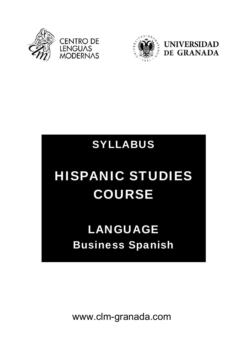



### SYLLABUS

# HISPANIC STUDIES COURSE

## LANGUAGE Business Spanish

www.clm-granada.com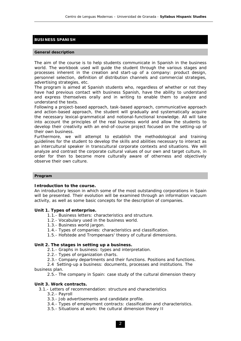#### **BUSINESS SPANISH**

#### **General description**

The aim of the course is to help students communicate in Spanish in the business world. The workbook used will guide the student through the various stages and processes inherent in the creation and start-up of a company: product design, personnel selection, definition of distribution channels and commercial strategies, advertising strategies, etc.

The program is aimed at Spanish students who, regardless of whether or not they have had previous contact with business Spanish, have the ability to understand and express themselves orally and in writing to enable them to analyze and understand the texts.

Following a project-based approach, task-based approach, communicative approach and action-based approach, the student will gradually and systematically acquire the necessary lexical-grammatical and notional-functional knowledge. All will take into account the principles of the real business world and allow the students to develop their creativity with an end-of-course project focused on the setting-up of their own business.

Furthermore, we will attempt to establish the methodological and training guidelines for the student to develop the skills and abilities necessary to interact as an intercultural speaker in transcultural corporate contexts and situations. We will analyze and contrast the corporate cultural values of our own and target culture, in order for then to become more culturally aware of otherness and objectively observe their own culture.

#### **Program**

#### **Introduction to the course.**

An introductory lesson in which some of the most outstanding corporations in Spain will be presented. Their evolution will be examined through an information vacuum activity, as well as some basic concepts for the description of companies.

#### **Unit 1. Types of enterprise.**

- 1.1.- Business letters: characteristics and structure.
- 1.2.- Vocabulary used in the business world.
- 1.3.- Business world jargon.
- 1.4.- Types of companies: characteristics and classification.
- 1.5.- Hofstede and Trompenaars' theory of cultural dimensions.

#### **Unit 2. The stages in setting up a business.**

- 2.1.- Graphs in business: types and interpretation.
- 2.2.- Types of organization charts.
- 2.3.- Company departments and their functions. Positions and functions.

 2.4 Setting-up a business: documents, processes and institutions. The business plan.

2.5.- The company in Spain: case study of the cultural dimension theory

#### **Unit 3. Work contracts.**

3.1.- Letters of recommendation: structure and characteristics

- 3.2.- Payroll
- 3.3.- Job advertisements and candidate profile.
- 3.4.- Types of employment contracts: classification and characteristics.
- 3.5.- Situations at work: the cultural dimension theory II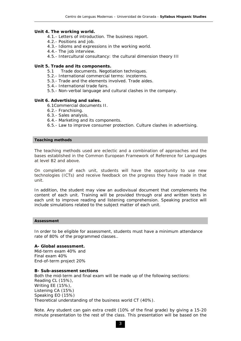#### **Unit 4. The working world.**

- 4.1.- Letters of introduction. The business report.
- 4.2.- Positions and job.
- 4.3.- Idioms and expressions in the working world.
- 4.4.- The job interview.
- 4.5.- Intercultural consultancy: the cultural dimension theory III

#### **Unit 5. Trade and its components.**

- 5.1 Trade documents. Negotiation techniques.
- 5.2.- International commercial terms: incoterms.
- 5.3.- Trade and the elements involved. Trade aides.
- 5.4.- International trade fairs.
- 5.5.- Non-verbal language and cultural clashes in the company.

#### **Unit 6. Advertising and sales.**

6.1Commercial documents II.

- 6.2.- Franchising.
- 6.3.- Sales analysis.
- 6.4.- Marketing and its components.
- 6.5.- Law to improve consumer protection. Culture clashes in advertising.

#### **Teaching methods**

The teaching methods used are eclectic and a combination of approaches and the bases established in the Common European Framework of Reference for Languages at level B2 and above.

On completion of each unit, students will have the opportunity to use new technologies (ICTs) and receive feedback on the progress they have made in that unit.

In addition, the student may view an audiovisual document that complements the content of each unit. Training will be provided through oral and written texts in each unit to improve reading and listening comprehension. Speaking practice will include simulations related to the subject matter of each unit.

#### **Assessment**

In order to be eligible for assessment, students must have a minimum attendance rate of 80% of the programmed classes..

**A- Global assessment.**  Mid-term exam 40% and Final exam 40% End-of-term project 20%

#### **B- Sub-assessment sections**

Both the mid-term and final exam will be made up of the following sections: Reading CL (15%), Writing EE (15%), Listening CA (15%) Speaking EO (15%) Theoretical understanding of the business world CT (40%).

Note. Any student can gain extra credit (10% of the final grade) by giving a 15-20 minute presentation to the rest of the class. This presentation will be based on the